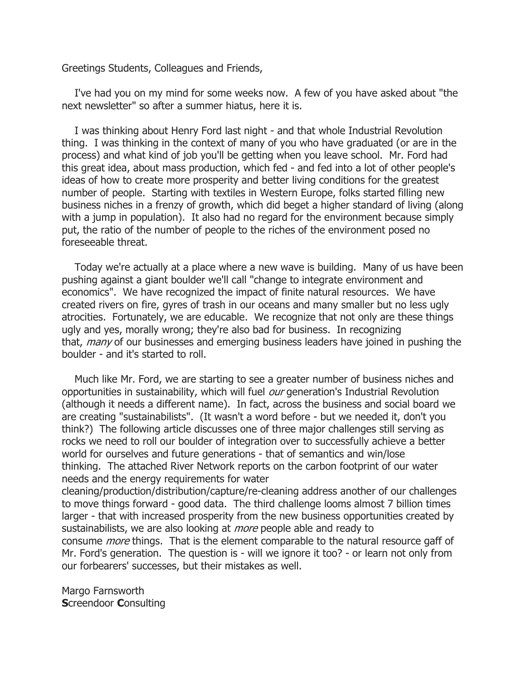Greetings Students, Colleagues and Friends,

 I've had you on my mind for some weeks now. A few of you have asked about "the next newsletter" so after a summer hiatus, here it is.

 I was thinking about Henry Ford last night - and that whole Industrial Revolution thing. I was thinking in the context of many of you who have graduated (or are in the process) and what kind of job you'll be getting when you leave school. Mr. Ford had this great idea, about mass production, which fed - and fed into a lot of other people's ideas of how to create more prosperity and better living conditions for the greatest number of people. Starting with textiles in Western Europe, folks started filling new business niches in a frenzy of growth, which did beget a higher standard of living (along with a jump in population). It also had no regard for the environment because simply put, the ratio of the number of people to the riches of the environment posed no foreseeable threat.

 Today we're actually at a place where a new wave is building. Many of us have been pushing against a giant boulder we'll call "change to integrate environment and economics". We have recognized the impact of finite natural resources. We have created rivers on fire, gyres of trash in our oceans and many smaller but no less ugly atrocities. Fortunately, we are educable. We recognize that not only are these things ugly and yes, morally wrong; they're also bad for business. In recognizing that, *many* of our businesses and emerging business leaders have joined in pushing the boulder - and it's started to roll.

 Much like Mr. Ford, we are starting to see a greater number of business niches and opportunities in sustainability, which will fuel our generation's Industrial Revolution (although it needs a different name). In fact, across the business and social board we are creating "sustainabilists". (It wasn't a word before - but we needed it, don't you think?) The following article discusses one of three major challenges still serving as rocks we need to roll our boulder of integration over to successfully achieve a better world for ourselves and future generations - that of semantics and win/lose thinking. The attached River Network reports on the carbon footprint of our water needs and the energy requirements for water

cleaning/production/distribution/capture/re-cleaning address another of our challenges to move things forward - good data. The third challenge looms almost 7 billion times larger - that with increased prosperity from the new business opportunities created by sustainabilists, we are also looking at *more* people able and ready to consume more things. That is the element comparable to the natural resource gaff of Mr. Ford's generation. The question is - will we ignore it too? - or learn not only from our forbearers' successes, but their mistakes as well.

Margo Farnsworth **Screendoor Consulting**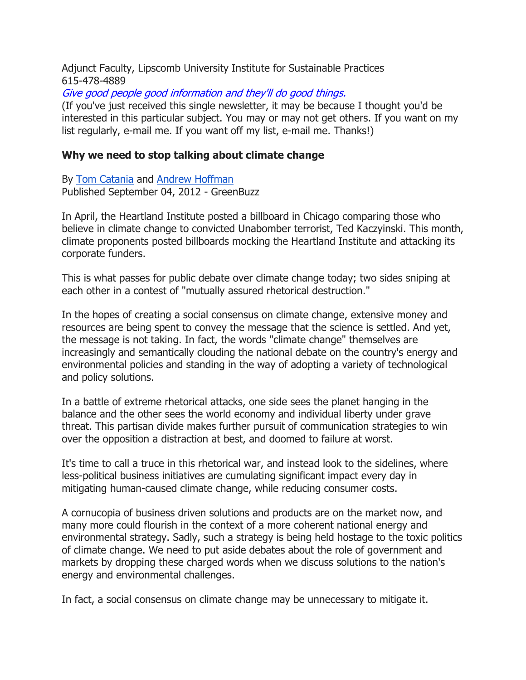Adjunct Faculty, Lipscomb University Institute for Sustainable Practices 615-478-4889

Give good people good information and they'll do good things.

(If you've just received this single newsletter, it may be because I thought you'd be interested in this particular subject. You may or may not get others. If you want on my list regularly, e-mail me. If you want off my list, e-mail me. Thanks!)

## Why we need to stop talking about climate change

By Tom Catania and Andrew Hoffman Published September 04, 2012 - GreenBuzz

In April, the Heartland Institute posted a billboard in Chicago comparing those who believe in climate change to convicted Unabomber terrorist, Ted Kaczyinski. This month, climate proponents posted billboards mocking the Heartland Institute and attacking its corporate funders.

This is what passes for public debate over climate change today; two sides sniping at each other in a contest of "mutually assured rhetorical destruction."

In the hopes of creating a social consensus on climate change, extensive money and resources are being spent to convey the message that the science is settled. And yet, the message is not taking. In fact, the words "climate change" themselves are increasingly and semantically clouding the national debate on the country's energy and environmental policies and standing in the way of adopting a variety of technological and policy solutions.

In a battle of extreme rhetorical attacks, one side sees the planet hanging in the balance and the other sees the world economy and individual liberty under grave threat. This partisan divide makes further pursuit of communication strategies to win over the opposition a distraction at best, and doomed to failure at worst.

It's time to call a truce in this rhetorical war, and instead look to the sidelines, where less-political business initiatives are cumulating significant impact every day in mitigating human-caused climate change, while reducing consumer costs.

A cornucopia of business driven solutions and products are on the market now, and many more could flourish in the context of a more coherent national energy and environmental strategy. Sadly, such a strategy is being held hostage to the toxic politics of climate change. We need to put aside debates about the role of government and markets by dropping these charged words when we discuss solutions to the nation's energy and environmental challenges.

In fact, a social consensus on climate change may be unnecessary to mitigate it.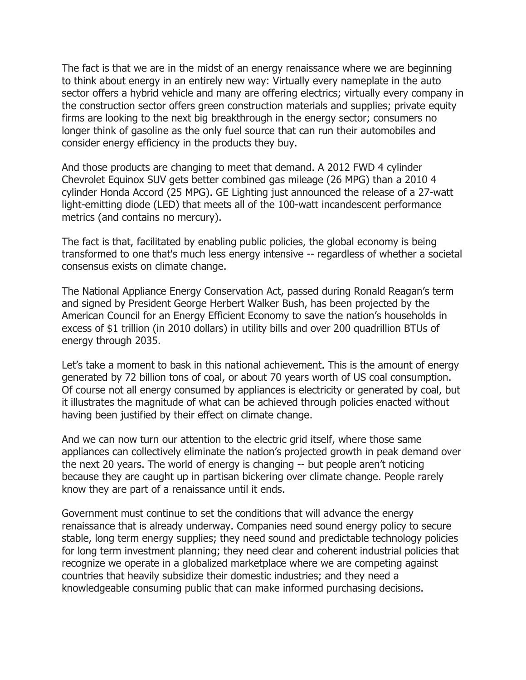The fact is that we are in the midst of an energy renaissance where we are beginning to think about energy in an entirely new way: Virtually every nameplate in the auto sector offers a hybrid vehicle and many are offering electrics; virtually every company in the construction sector offers green construction materials and supplies; private equity firms are looking to the next big breakthrough in the energy sector; consumers no longer think of gasoline as the only fuel source that can run their automobiles and consider energy efficiency in the products they buy.

And those products are changing to meet that demand. A 2012 FWD 4 cylinder Chevrolet Equinox SUV gets better combined gas mileage (26 MPG) than a 2010 4 cylinder Honda Accord (25 MPG). GE Lighting just announced the release of a 27-watt light-emitting diode (LED) that meets all of the 100-watt incandescent performance metrics (and contains no mercury).

The fact is that, facilitated by enabling public policies, the global economy is being transformed to one that's much less energy intensive -- regardless of whether a societal consensus exists on climate change.

The National Appliance Energy Conservation Act, passed during Ronald Reagan's term and signed by President George Herbert Walker Bush, has been projected by the American Council for an Energy Efficient Economy to save the nation's households in excess of \$1 trillion (in 2010 dollars) in utility bills and over 200 quadrillion BTUs of energy through 2035.

Let's take a moment to bask in this national achievement. This is the amount of energy generated by 72 billion tons of coal, or about 70 years worth of US coal consumption. Of course not all energy consumed by appliances is electricity or generated by coal, but it illustrates the magnitude of what can be achieved through policies enacted without having been justified by their effect on climate change.

And we can now turn our attention to the electric grid itself, where those same appliances can collectively eliminate the nation's projected growth in peak demand over the next 20 years. The world of energy is changing -- but people aren't noticing because they are caught up in partisan bickering over climate change. People rarely know they are part of a renaissance until it ends.

Government must continue to set the conditions that will advance the energy renaissance that is already underway. Companies need sound energy policy to secure stable, long term energy supplies; they need sound and predictable technology policies for long term investment planning; they need clear and coherent industrial policies that recognize we operate in a globalized marketplace where we are competing against countries that heavily subsidize their domestic industries; and they need a knowledgeable consuming public that can make informed purchasing decisions.